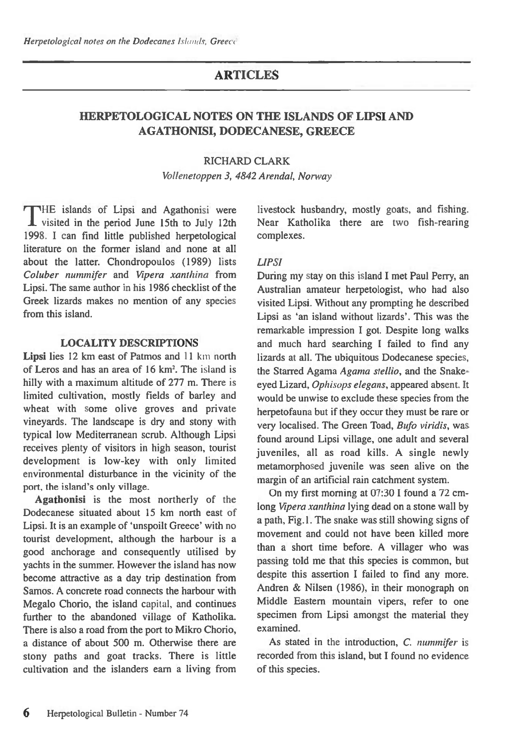# **ARTICLES**

## **HERPETOLOGICAL NOTES ON THE ISLANDS OF LIPS! AND AGATHONISI, DODECANESE, GREECE**

#### RICHARD CLARK

*Vollenetoppen 3, 4842 Arendal, Norway* 

THE islands of Lipsi and Agathonisi were 1 visited in the period June 15th to July 12th 1998. I can find little published herpetological literature on the former island and none at all about the latter. Chondropoulos (1989) lists *Coluber nunzmifer* and *Vipera xanthina* from Lipsi. The same author in his 1986 checklist of the Greek lizards makes no mention of any species from this island.

## **LOCALITY DESCRIPTIONS**

Lipsi lies 12 km east of Patmos and 11 km north of Leros and has an area of 16 km<sup>2</sup>. The island is hilly with a maximum altitude of 277 m. There is limited cultivation, mostly fields of barley and wheat with some olive groves and private vineyards. The landscape is dry and stony with typical low Mediterranean scrub. Although Lipsi receives plenty of visitors in high season, tourist development is low-key with only limited environmental disturbance in the vicinity of the port, the island's only village.

**Agathonisi** is the most northerly of the Dodecanese situated about 15 km north east of Lipsi. It is an example of 'unspoilt Greece' with no tourist development, although the harbour is a good anchorage and consequently utilised by yachts in the summer. However the island has now become attractive as a day trip destination from Samos. A concrete road connects the harbour with Megalo Chorio, the island capital, and continues further to the abandoned village of Katholika. There is also a road from the port to Mikro Chorio, a distance of about 500 m. Otherwise there are stony paths and goat tracks. There is little cultivation and the islanders earn a living from

livestock husbandry, mostly goats, and fishing. Near Katholika there are two fish-rearing complexes.

## *LIPSI*

During my stay on this island I met Paul Perry, an Australian amateur herpetologist, who had also visited Lipsi. Without any prompting he described Lipsi as 'an island without lizards'. This was the remarkable impression I got. Despite long walks and much hard searching I failed to find any lizards at all. The ubiquitous Dodecanese species, the Starred Agama *Agama stellio,* and the Snakeeyed Lizard, *Ophisops elegans,* appeared absent. It would be unwise to exclude these species from the herpetofauna but if they occur they must be rare or very localised. The Green Toad, *Bufo viridis,* was found around Lipsi village, one adult and several juveniles, all as road kills. A single newly metamorphosed juvenile was seen alive on the margin of an artificial rain catchment system.

On my first morning at 07:30 I found a 72 cmlong *Vipera xanthina* lying dead on a stone wall by a path, Fig. 1. The snake was still showing signs of movement and could not have been killed more than a short time before. A villager who was passing told me that this species is common, but despite this assertion I failed to find any more. Andren & Nilsen (1986), in their monograph on Middle Eastern mountain vipers, refer to one specimen from Lipsi amongst the material they examined.

As stated in the introduction, C. *nummifer* is recorded from this island, but I found no evidence of this species.